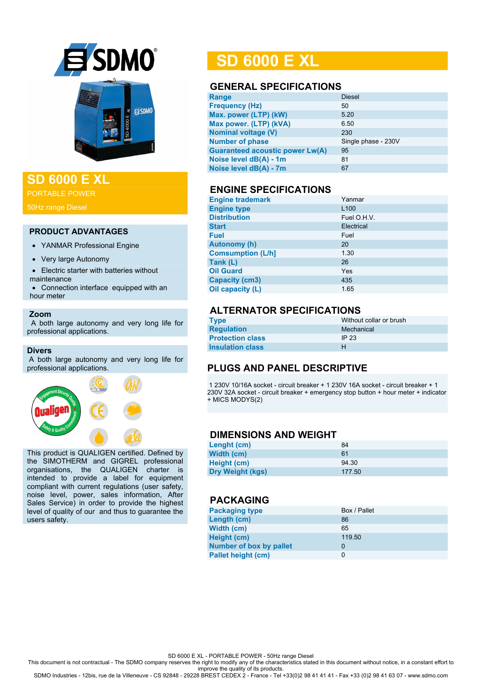



## **SD 6000 E XL**

PORTABLE POWER

#### **PRODUCT ADVANTAGES**

- YANMAR Professional Engine
- Very large Autonomy
- Electric starter with batteries without maintenance
- Connection interface equipped with an hour meter

#### **Zoom**

 A both large autonomy and very long life for professional applications.

#### **Divers**

A both large autonomy and very long life for professional applications.



This product is QUALIGEN certified. Defined by the SIMOTHERM and GIGREL professional organisations, the QUALIGEN charter is intended to provide a label for equipment compliant with current regulations (user safety, noise level, power, sales information, After Sales Service) in order to provide the highest level of quality of our and thus to guarantee the users safety.

## **SD 6000 E XL**

#### **GENERAL SPECIFICATIONS**

| Range                                  | <b>Diesel</b>       |
|----------------------------------------|---------------------|
| <b>Frequency (Hz)</b>                  | 50                  |
| Max. power (LTP) (kW)                  | 5.20                |
| Max power. (LTP) (kVA)                 | 6.50                |
| <b>Nominal voltage (V)</b>             | 230                 |
| <b>Number of phase</b>                 | Single phase - 230V |
| <b>Guaranteed acoustic power Lw(A)</b> | 95                  |
| Noise level dB(A) - 1m                 | 81                  |
| Noise level dB(A) - 7m                 | 67                  |
|                                        |                     |

#### **ENGINE SPECIFICATIONS**

| <b>Engine trademark</b>  | Yanmar           |
|--------------------------|------------------|
| <b>Engine type</b>       | L <sub>100</sub> |
| <b>Distribution</b>      | Fuel O.H.V.      |
| <b>Start</b>             | Electrical       |
| <b>Fuel</b>              | Fuel             |
| <b>Autonomy (h)</b>      | 20               |
| <b>Comsumption (L/h]</b> | 1.30             |
| Tank (L)                 | 26               |
| <b>Oil Guard</b>         | Yes              |
| <b>Capacity (cm3)</b>    | 435              |
| Oil capacity (L)         | 1.65             |

## **ALTERNATOR SPECIFICATIONS**

| <b>Type</b>             | Without collar or brush |
|-------------------------|-------------------------|
| <b>Regulation</b>       | Mechanical              |
| <b>Protection class</b> | IP 23                   |
| <b>Insulation class</b> |                         |

## **PLUGS AND PANEL DESCRIPTIVE**

1 230V 10/16A socket - circuit breaker + 1 230V 16A socket - circuit breaker + 1 230V 32A socket - circuit breaker + emergency stop button + hour meter + indicator + MICS MODYS(2)

#### **DIMENSIONS AND WEIGHT**

| Lenght (cm)             | 84     |
|-------------------------|--------|
| Width (cm)              | 61     |
| Height (cm)             | 94.30  |
| <b>Dry Weight (kgs)</b> | 177.50 |

#### **PACKAGING**

| <b>Packaging type</b>          | Box / Pallet |
|--------------------------------|--------------|
| Length (cm)                    | 86           |
| Width (cm)                     | 65           |
| Height (cm)                    | 119.50       |
| <b>Number of box by pallet</b> | 0            |
| <b>Pallet height (cm)</b>      | 0            |

SD 6000 E XL - PORTABLE POWER - 50Hz range Diesel

This document is not contractual - The SDMO company reserves the right to modify any of the characteristics stated in this document without notice, in a constant effort to

improve the quality of its products. SDMO Industries - 12bis, rue de la Villeneuve - CS 92848 - 29228 BREST CEDEX 2 - France - Tel +33(0)2 98 41 41 41 - Fax +33 (0)2 98 41 63 07 - www.sdmo.com